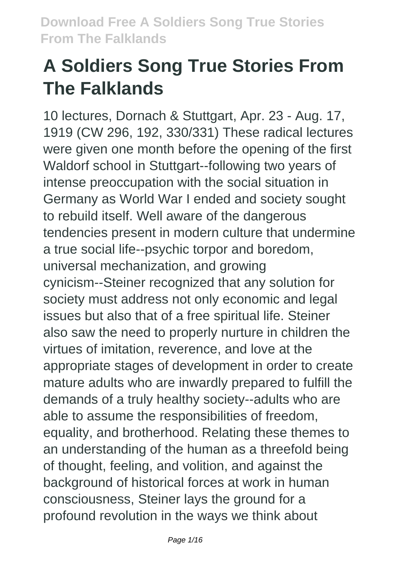# **A Soldiers Song True Stories From The Falklands**

10 lectures, Dornach & Stuttgart, Apr. 23 - Aug. 17, 1919 (CW 296, 192, 330/331) These radical lectures were given one month before the opening of the first Waldorf school in Stuttgart--following two years of intense preoccupation with the social situation in Germany as World War I ended and society sought to rebuild itself. Well aware of the dangerous tendencies present in modern culture that undermine a true social life--psychic torpor and boredom, universal mechanization, and growing cynicism--Steiner recognized that any solution for society must address not only economic and legal issues but also that of a free spiritual life. Steiner also saw the need to properly nurture in children the virtues of imitation, reverence, and love at the appropriate stages of development in order to create mature adults who are inwardly prepared to fulfill the demands of a truly healthy society--adults who are able to assume the responsibilities of freedom, equality, and brotherhood. Relating these themes to an understanding of the human as a threefold being of thought, feeling, and volition, and against the background of historical forces at work in human consciousness, Steiner lays the ground for a profound revolution in the ways we think about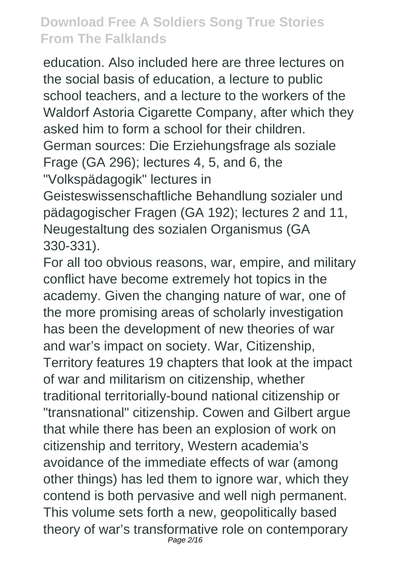education. Also included here are three lectures on the social basis of education, a lecture to public school teachers, and a lecture to the workers of the Waldorf Astoria Cigarette Company, after which they asked him to form a school for their children.

German sources: Die Erziehungsfrage als soziale Frage (GA 296); lectures 4, 5, and 6, the "Volkspädagogik" lectures in

Geisteswissenschaftliche Behandlung sozialer und pädagogischer Fragen (GA 192); lectures 2 and 11, Neugestaltung des sozialen Organismus (GA 330-331).

For all too obvious reasons, war, empire, and military conflict have become extremely hot topics in the academy. Given the changing nature of war, one of the more promising areas of scholarly investigation has been the development of new theories of war and war's impact on society. War, Citizenship, Territory features 19 chapters that look at the impact of war and militarism on citizenship, whether traditional territorially-bound national citizenship or "transnational" citizenship. Cowen and Gilbert argue that while there has been an explosion of work on citizenship and territory, Western academia's avoidance of the immediate effects of war (among other things) has led them to ignore war, which they contend is both pervasive and well nigh permanent. This volume sets forth a new, geopolitically based theory of war's transformative role on contemporary Page 2/16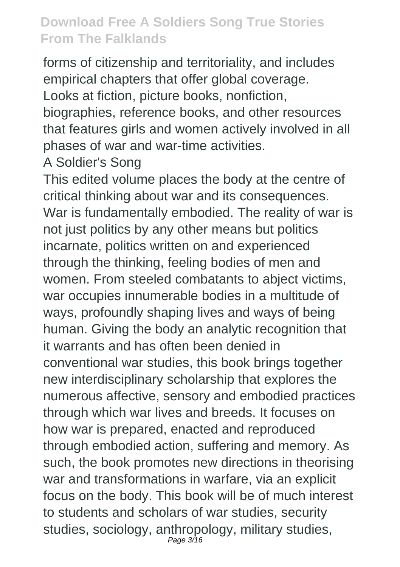forms of citizenship and territoriality, and includes empirical chapters that offer global coverage. Looks at fiction, picture books, nonfiction,

biographies, reference books, and other resources that features girls and women actively involved in all phases of war and war-time activities.

A Soldier's Song

This edited volume places the body at the centre of critical thinking about war and its consequences. War is fundamentally embodied. The reality of war is not just politics by any other means but politics incarnate, politics written on and experienced through the thinking, feeling bodies of men and women. From steeled combatants to abject victims, war occupies innumerable bodies in a multitude of ways, profoundly shaping lives and ways of being human. Giving the body an analytic recognition that it warrants and has often been denied in conventional war studies, this book brings together new interdisciplinary scholarship that explores the numerous affective, sensory and embodied practices through which war lives and breeds. It focuses on how war is prepared, enacted and reproduced through embodied action, suffering and memory. As such, the book promotes new directions in theorising war and transformations in warfare, via an explicit focus on the body. This book will be of much interest to students and scholars of war studies, security studies, sociology, anthropology, military studies, Page 3/16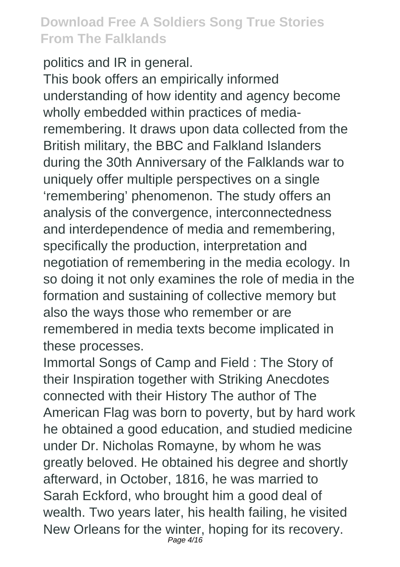politics and IR in general.

This book offers an empirically informed understanding of how identity and agency become wholly embedded within practices of mediaremembering. It draws upon data collected from the British military, the BBC and Falkland Islanders during the 30th Anniversary of the Falklands war to uniquely offer multiple perspectives on a single 'remembering' phenomenon. The study offers an analysis of the convergence, interconnectedness and interdependence of media and remembering, specifically the production, interpretation and negotiation of remembering in the media ecology. In so doing it not only examines the role of media in the formation and sustaining of collective memory but also the ways those who remember or are remembered in media texts become implicated in these processes.

Immortal Songs of Camp and Field : The Story of their Inspiration together with Striking Anecdotes connected with their History The author of The American Flag was born to poverty, but by hard work he obtained a good education, and studied medicine under Dr. Nicholas Romayne, by whom he was greatly beloved. He obtained his degree and shortly afterward, in October, 1816, he was married to Sarah Eckford, who brought him a good deal of wealth. Two years later, his health failing, he visited New Orleans for the winter, hoping for its recovery. Page  $4/16$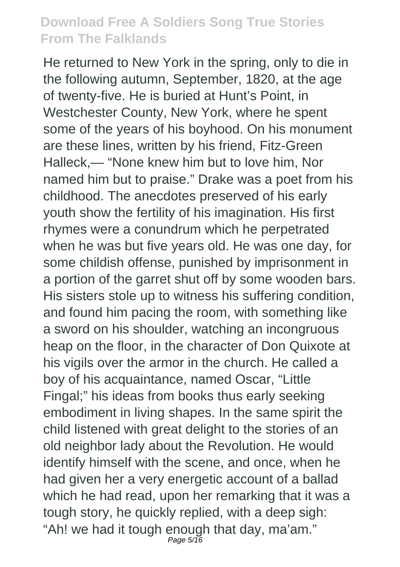He returned to New York in the spring, only to die in the following autumn, September, 1820, at the age of twenty-five. He is buried at Hunt's Point, in Westchester County, New York, where he spent some of the years of his boyhood. On his monument are these lines, written by his friend, Fitz-Green Halleck,— "None knew him but to love him, Nor named him but to praise." Drake was a poet from his childhood. The anecdotes preserved of his early youth show the fertility of his imagination. His first rhymes were a conundrum which he perpetrated when he was but five years old. He was one day, for some childish offense, punished by imprisonment in a portion of the garret shut off by some wooden bars. His sisters stole up to witness his suffering condition, and found him pacing the room, with something like a sword on his shoulder, watching an incongruous heap on the floor, in the character of Don Quixote at his vigils over the armor in the church. He called a boy of his acquaintance, named Oscar, "Little Fingal;" his ideas from books thus early seeking embodiment in living shapes. In the same spirit the child listened with great delight to the stories of an old neighbor lady about the Revolution. He would identify himself with the scene, and once, when he had given her a very energetic account of a ballad which he had read, upon her remarking that it was a tough story, he quickly replied, with a deep sigh: "Ah! we had it tough enough that day, ma'am." Page 5/16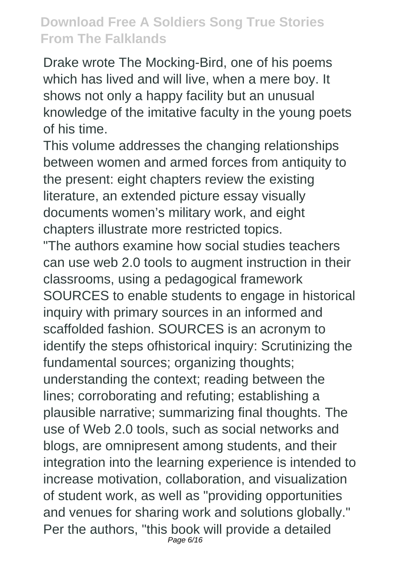Drake wrote The Mocking-Bird, one of his poems which has lived and will live, when a mere boy. It shows not only a happy facility but an unusual knowledge of the imitative faculty in the young poets of his time.

This volume addresses the changing relationships between women and armed forces from antiquity to the present: eight chapters review the existing literature, an extended picture essay visually documents women's military work, and eight chapters illustrate more restricted topics.

"The authors examine how social studies teachers can use web 2.0 tools to augment instruction in their classrooms, using a pedagogical framework SOURCES to enable students to engage in historical inquiry with primary sources in an informed and scaffolded fashion. SOURCES is an acronym to identify the steps ofhistorical inquiry: Scrutinizing the fundamental sources; organizing thoughts; understanding the context; reading between the lines; corroborating and refuting; establishing a plausible narrative; summarizing final thoughts. The use of Web 2.0 tools, such as social networks and blogs, are omnipresent among students, and their integration into the learning experience is intended to increase motivation, collaboration, and visualization of student work, as well as "providing opportunities and venues for sharing work and solutions globally." Per the authors, "this book will provide a detailed Page 6/16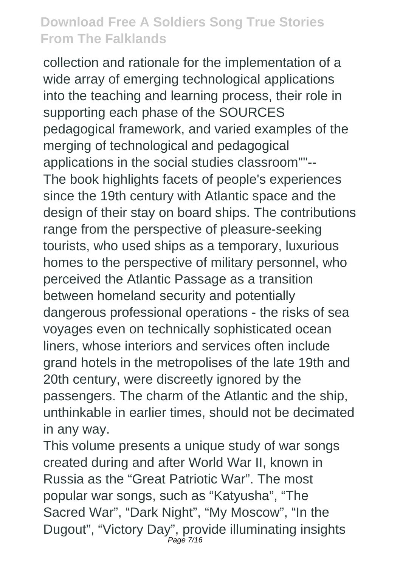collection and rationale for the implementation of a wide array of emerging technological applications into the teaching and learning process, their role in supporting each phase of the SOURCES pedagogical framework, and varied examples of the merging of technological and pedagogical applications in the social studies classroom""-- The book highlights facets of people's experiences since the 19th century with Atlantic space and the design of their stay on board ships. The contributions range from the perspective of pleasure-seeking tourists, who used ships as a temporary, luxurious homes to the perspective of military personnel, who perceived the Atlantic Passage as a transition between homeland security and potentially dangerous professional operations - the risks of sea voyages even on technically sophisticated ocean liners, whose interiors and services often include grand hotels in the metropolises of the late 19th and 20th century, were discreetly ignored by the passengers. The charm of the Atlantic and the ship, unthinkable in earlier times, should not be decimated in any way.

This volume presents a unique study of war songs created during and after World War II, known in Russia as the "Great Patriotic War". The most popular war songs, such as "Katyusha", "The Sacred War", "Dark Night", "My Moscow", "In the Dugout", "Victory Day", provide illuminating insights Page 7/16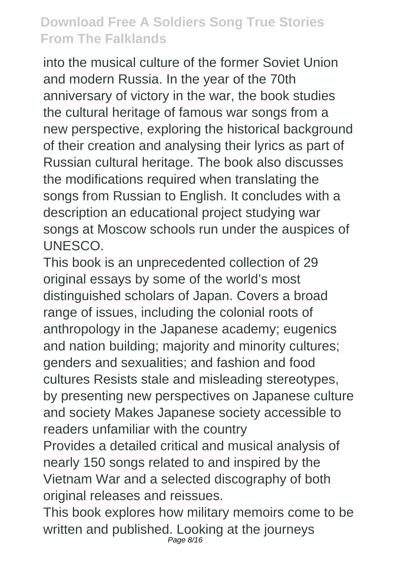into the musical culture of the former Soviet Union and modern Russia. In the year of the 70th anniversary of victory in the war, the book studies the cultural heritage of famous war songs from a new perspective, exploring the historical background of their creation and analysing their lyrics as part of Russian cultural heritage. The book also discusses the modifications required when translating the songs from Russian to English. It concludes with a description an educational project studying war songs at Moscow schools run under the auspices of UNESCO.

This book is an unprecedented collection of 29 original essays by some of the world's most distinguished scholars of Japan. Covers a broad range of issues, including the colonial roots of anthropology in the Japanese academy; eugenics and nation building; majority and minority cultures; genders and sexualities; and fashion and food cultures Resists stale and misleading stereotypes, by presenting new perspectives on Japanese culture and society Makes Japanese society accessible to readers unfamiliar with the country

Provides a detailed critical and musical analysis of nearly 150 songs related to and inspired by the Vietnam War and a selected discography of both original releases and reissues.

This book explores how military memoirs come to be written and published. Looking at the journeys Page 8/16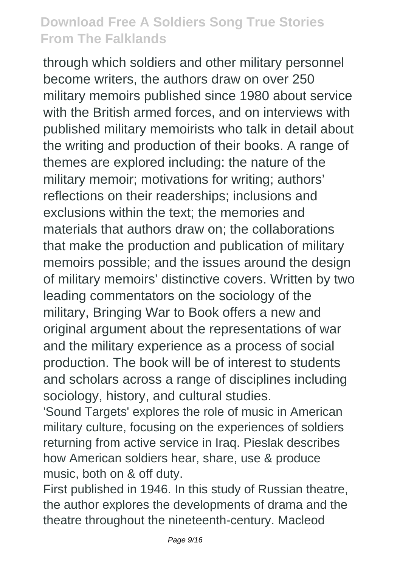through which soldiers and other military personnel become writers, the authors draw on over 250 military memoirs published since 1980 about service with the British armed forces, and on interviews with published military memoirists who talk in detail about the writing and production of their books. A range of themes are explored including: the nature of the military memoir; motivations for writing; authors' reflections on their readerships; inclusions and exclusions within the text; the memories and materials that authors draw on; the collaborations that make the production and publication of military memoirs possible; and the issues around the design of military memoirs' distinctive covers. Written by two leading commentators on the sociology of the military, Bringing War to Book offers a new and original argument about the representations of war and the military experience as a process of social production. The book will be of interest to students and scholars across a range of disciplines including sociology, history, and cultural studies.

'Sound Targets' explores the role of music in American military culture, focusing on the experiences of soldiers returning from active service in Iraq. Pieslak describes how American soldiers hear, share, use & produce music, both on & off duty.

First published in 1946. In this study of Russian theatre, the author explores the developments of drama and the theatre throughout the nineteenth-century. Macleod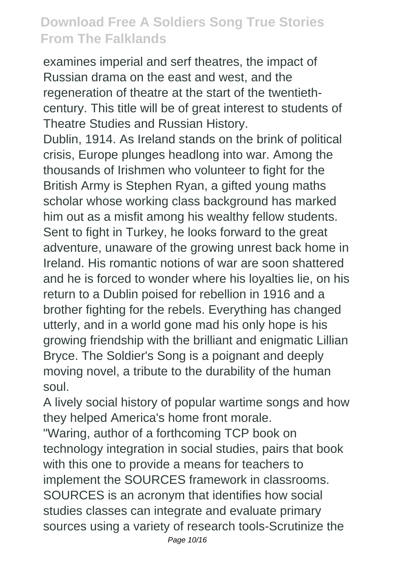examines imperial and serf theatres, the impact of Russian drama on the east and west, and the regeneration of theatre at the start of the twentiethcentury. This title will be of great interest to students of Theatre Studies and Russian History.

Dublin, 1914. As Ireland stands on the brink of political crisis, Europe plunges headlong into war. Among the thousands of Irishmen who volunteer to fight for the British Army is Stephen Ryan, a gifted young maths scholar whose working class background has marked him out as a misfit among his wealthy fellow students. Sent to fight in Turkey, he looks forward to the great adventure, unaware of the growing unrest back home in Ireland. His romantic notions of war are soon shattered and he is forced to wonder where his loyalties lie, on his return to a Dublin poised for rebellion in 1916 and a brother fighting for the rebels. Everything has changed utterly, and in a world gone mad his only hope is his growing friendship with the brilliant and enigmatic Lillian Bryce. The Soldier's Song is a poignant and deeply moving novel, a tribute to the durability of the human soul.

A lively social history of popular wartime songs and how they helped America's home front morale.

"Waring, author of a forthcoming TCP book on technology integration in social studies, pairs that book with this one to provide a means for teachers to implement the SOURCES framework in classrooms. SOURCES is an acronym that identifies how social studies classes can integrate and evaluate primary sources using a variety of research tools-Scrutinize the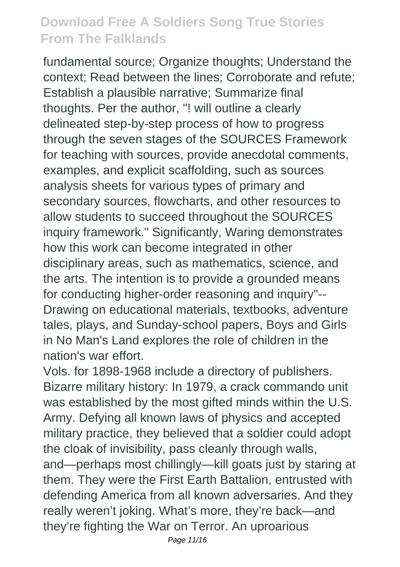fundamental source; Organize thoughts; Understand the context; Read between the lines; Corroborate and refute; Establish a plausible narrative; Summarize final thoughts. Per the author, "! will outline a clearly delineated step-by-step process of how to progress through the seven stages of the SOURCES Framework for teaching with sources, provide anecdotal comments, examples, and explicit scaffolding, such as sources analysis sheets for various types of primary and secondary sources, flowcharts, and other resources to allow students to succeed throughout the SOURCES inquiry framework." Significantly, Waring demonstrates how this work can become integrated in other disciplinary areas, such as mathematics, science, and the arts. The intention is to provide a grounded means for conducting higher-order reasoning and inquiry"-- Drawing on educational materials, textbooks, adventure tales, plays, and Sunday-school papers, Boys and Girls in No Man's Land explores the role of children in the nation's war effort.

Vols. for 1898-1968 include a directory of publishers. Bizarre military history: In 1979, a crack commando unit was established by the most gifted minds within the U.S. Army. Defying all known laws of physics and accepted military practice, they believed that a soldier could adopt the cloak of invisibility, pass cleanly through walls, and—perhaps most chillingly—kill goats just by staring at them. They were the First Earth Battalion, entrusted with defending America from all known adversaries. And they really weren't joking. What's more, they're back—and they're fighting the War on Terror. An uproarious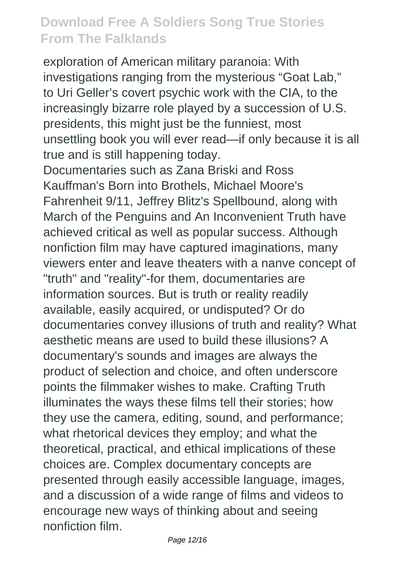exploration of American military paranoia: With investigations ranging from the mysterious "Goat Lab," to Uri Geller's covert psychic work with the CIA, to the increasingly bizarre role played by a succession of U.S. presidents, this might just be the funniest, most unsettling book you will ever read—if only because it is all true and is still happening today.

Documentaries such as Zana Briski and Ross Kauffman's Born into Brothels, Michael Moore's Fahrenheit 9/11, Jeffrey Blitz's Spellbound, along with March of the Penguins and An Inconvenient Truth have achieved critical as well as popular success. Although nonfiction film may have captured imaginations, many viewers enter and leave theaters with a nanve concept of "truth" and "reality"-for them, documentaries are information sources. But is truth or reality readily available, easily acquired, or undisputed? Or do documentaries convey illusions of truth and reality? What aesthetic means are used to build these illusions? A documentary's sounds and images are always the product of selection and choice, and often underscore points the filmmaker wishes to make. Crafting Truth illuminates the ways these films tell their stories; how they use the camera, editing, sound, and performance; what rhetorical devices they employ; and what the theoretical, practical, and ethical implications of these choices are. Complex documentary concepts are presented through easily accessible language, images, and a discussion of a wide range of films and videos to encourage new ways of thinking about and seeing nonfiction film.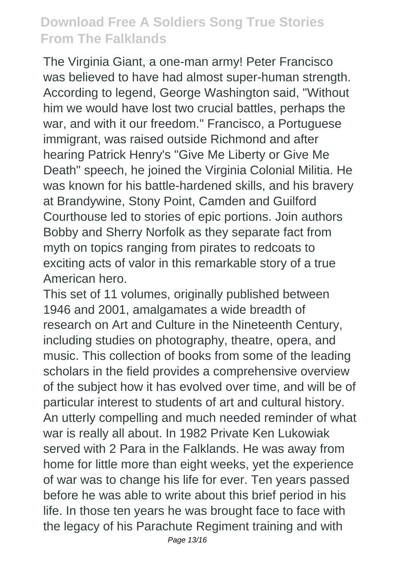The Virginia Giant, a one-man army! Peter Francisco was believed to have had almost super-human strength. According to legend, George Washington said, "Without him we would have lost two crucial battles, perhaps the war, and with it our freedom." Francisco, a Portuguese immigrant, was raised outside Richmond and after hearing Patrick Henry's "Give Me Liberty or Give Me Death" speech, he joined the Virginia Colonial Militia. He was known for his battle-hardened skills, and his bravery at Brandywine, Stony Point, Camden and Guilford Courthouse led to stories of epic portions. Join authors Bobby and Sherry Norfolk as they separate fact from myth on topics ranging from pirates to redcoats to exciting acts of valor in this remarkable story of a true American hero.

This set of 11 volumes, originally published between 1946 and 2001, amalgamates a wide breadth of research on Art and Culture in the Nineteenth Century, including studies on photography, theatre, opera, and music. This collection of books from some of the leading scholars in the field provides a comprehensive overview of the subject how it has evolved over time, and will be of particular interest to students of art and cultural history. An utterly compelling and much needed reminder of what war is really all about. In 1982 Private Ken Lukowiak served with 2 Para in the Falklands. He was away from home for little more than eight weeks, yet the experience of war was to change his life for ever. Ten years passed before he was able to write about this brief period in his life. In those ten years he was brought face to face with the legacy of his Parachute Regiment training and with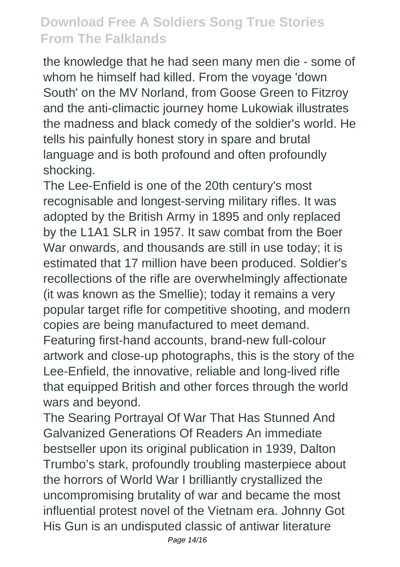the knowledge that he had seen many men die - some of whom he himself had killed. From the voyage 'down South' on the MV Norland, from Goose Green to Fitzroy and the anti-climactic journey home Lukowiak illustrates the madness and black comedy of the soldier's world. He tells his painfully honest story in spare and brutal language and is both profound and often profoundly shocking.

The Lee-Enfield is one of the 20th century's most recognisable and longest-serving military rifles. It was adopted by the British Army in 1895 and only replaced by the L1A1 SLR in 1957. It saw combat from the Boer War onwards, and thousands are still in use today; it is estimated that 17 million have been produced. Soldier's recollections of the rifle are overwhelmingly affectionate (it was known as the Smellie); today it remains a very popular target rifle for competitive shooting, and modern copies are being manufactured to meet demand. Featuring first-hand accounts, brand-new full-colour artwork and close-up photographs, this is the story of the Lee-Enfield, the innovative, reliable and long-lived rifle that equipped British and other forces through the world wars and beyond.

The Searing Portrayal Of War That Has Stunned And Galvanized Generations Of Readers An immediate bestseller upon its original publication in 1939, Dalton Trumbo's stark, profoundly troubling masterpiece about the horrors of World War I brilliantly crystallized the uncompromising brutality of war and became the most influential protest novel of the Vietnam era. Johnny Got His Gun is an undisputed classic of antiwar literature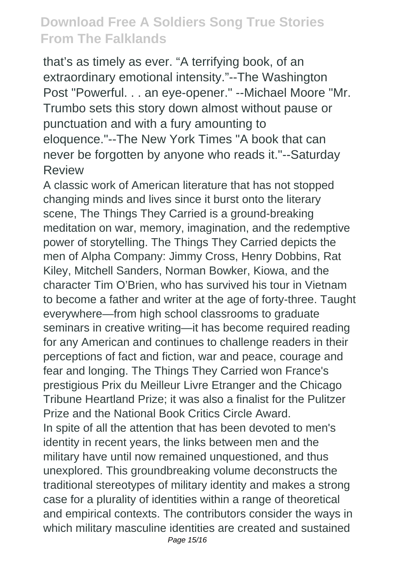that's as timely as ever. "A terrifying book, of an extraordinary emotional intensity."--The Washington Post "Powerful. . . an eye-opener." --Michael Moore "Mr. Trumbo sets this story down almost without pause or punctuation and with a fury amounting to eloquence."--The New York Times "A book that can never be forgotten by anyone who reads it."--Saturday Review

A classic work of American literature that has not stopped changing minds and lives since it burst onto the literary scene, The Things They Carried is a ground-breaking meditation on war, memory, imagination, and the redemptive power of storytelling. The Things They Carried depicts the men of Alpha Company: Jimmy Cross, Henry Dobbins, Rat Kiley, Mitchell Sanders, Norman Bowker, Kiowa, and the character Tim O'Brien, who has survived his tour in Vietnam to become a father and writer at the age of forty-three. Taught everywhere—from high school classrooms to graduate seminars in creative writing—it has become required reading for any American and continues to challenge readers in their perceptions of fact and fiction, war and peace, courage and fear and longing. The Things They Carried won France's prestigious Prix du Meilleur Livre Etranger and the Chicago Tribune Heartland Prize; it was also a finalist for the Pulitzer Prize and the National Book Critics Circle Award. In spite of all the attention that has been devoted to men's identity in recent years, the links between men and the military have until now remained unquestioned, and thus unexplored. This groundbreaking volume deconstructs the traditional stereotypes of military identity and makes a strong case for a plurality of identities within a range of theoretical and empirical contexts. The contributors consider the ways in which military masculine identities are created and sustained Page 15/16